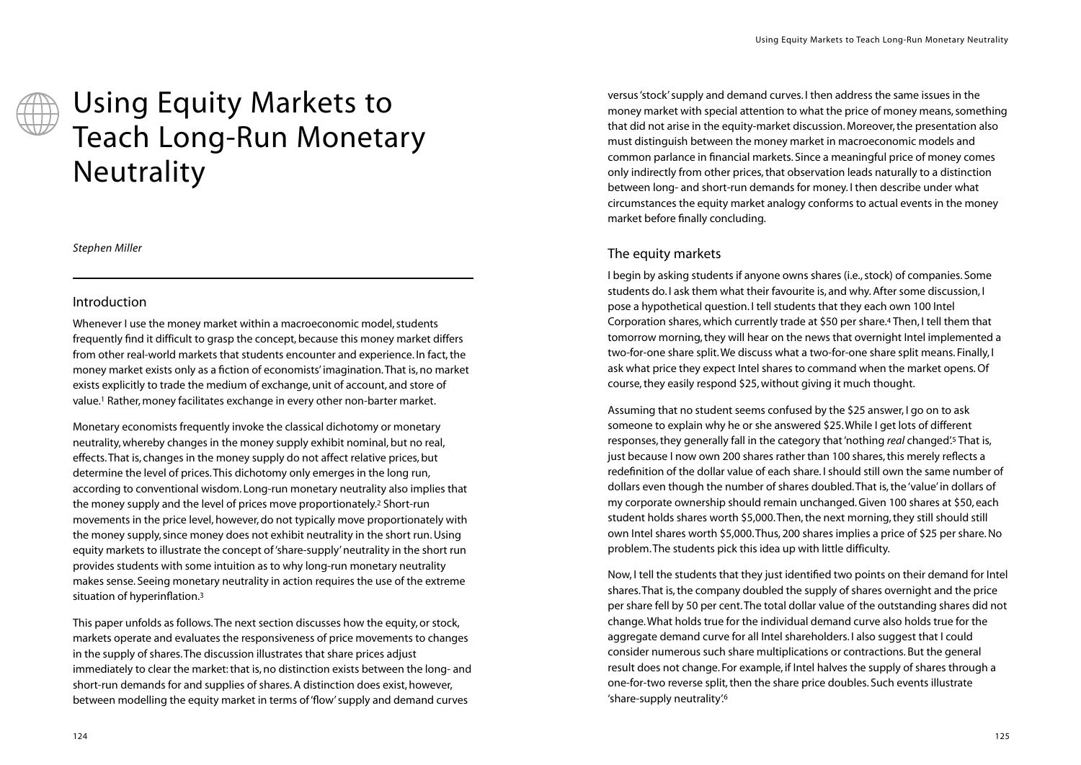# Using Equity Markets to Teach Long-Run Monetary Neutrality

#### *Stephen Miller*

#### Introduction

Whenever I use the money market within a macroeconomic model, students frequently find it difficult to grasp the concept, because this money market differs from other real-world markets that students encounter and experience. In fact, the money market exists only as a fiction of economists' imagination.That is, no market exists explicitly to trade the medium of exchange, unit of account, and store of value.1 Rather, money facilitates exchange in every other non-barter market.

Monetary economists frequently invoke the classical dichotomy or monetary neutrality, whereby changes in the money supply exhibit nominal, but no real, effects.That is, changes in the money supply do not affect relative prices, but determine the level of prices.This dichotomy only emerges in the long run, according to conventional wisdom. Long-run monetary neutrality also implies that the money supply and the level of prices move proportionately.2 Short-run movements in the price level, however, do not typically move proportionately with the money supply, since money does not exhibit neutrality in the short run. Using equity markets to illustrate the concept of 'share-supply' neutrality in the short run provides students with some intuition as to why long-run monetary neutrality makes sense. Seeing monetary neutrality in action requires the use of the extreme situation of hyperinflation.3

This paper unfolds as follows.The next section discusses how the equity, or stock, markets operate and evaluates the responsiveness of price movements to changes in the supply of shares.The discussion illustrates that share prices adjust immediately to clear the market: that is, no distinction exists between the long- and short-run demands for and supplies of shares. A distinction does exist, however, between modelling the equity market in terms of 'flow' supply and demand curves

versus 'stock' supply and demand curves. I then address the same issues in the money market with special attention to what the price of money means, something that did not arise in the equity-market discussion. Moreover, the presentation also must distinguish between the money market in macroeconomic models and common parlance in financial markets. Since a meaningful price of money comes only indirectly from other prices, that observation leads naturally to a distinction between long- and short-run demands for money. I then describe under what circumstances the equity market analogy conforms to actual events in the money market before finally concluding.

# The equity markets

I begin by asking students if anyone owns shares (i.e., stock) of companies. Some students do. I ask them what their favourite is, and why. After some discussion, I pose a hypothetical question. I tell students that they each own 100 Intel Corporation shares, which currently trade at \$50 per share.4 Then, I tell them that tomorrow morning, they will hear on the news that overnight Intel implemented a two-for-one share split.We discuss what a two-for-one share split means. Finally, I ask what price they expect Intel shares to command when the market opens. Of course, they easily respond \$25, without giving it much thought.

Assuming that no student seems confused by the \$25 answer, I go on to ask someone to explain why he or she answered \$25.While I get lots of different responses, they generally fall in the category that 'nothing *real* changed'.<sup>5</sup> That is, just because I now own 200 shares rather than 100 shares, this merely reflects a redefinition of the dollar value of each share. I should still own the same number of dollars even though the number of shares doubled.That is, the 'value' in dollars of my corporate ownership should remain unchanged. Given 100 shares at \$50, each student holds shares worth \$5,000.Then, the next morning, they still should still own Intel shares worth \$5,000.Thus, 200 shares implies a price of \$25 per share. No problem.The students pick this idea up with little difficulty.

Now, I tell the students that they just identified two points on their demand for Intel shares.That is, the company doubled the supply of shares overnight and the price per share fell by 50 per cent.The total dollar value of the outstanding shares did not change.What holds true for the individual demand curve also holds true for the aggregate demand curve for all Intel shareholders. I also suggest that I could consider numerous such share multiplications or contractions. But the general result does not change. For example, if Intel halves the supply of shares through a one-for-two reverse split, then the share price doubles. Such events illustrate 'share-supply neutrality'.6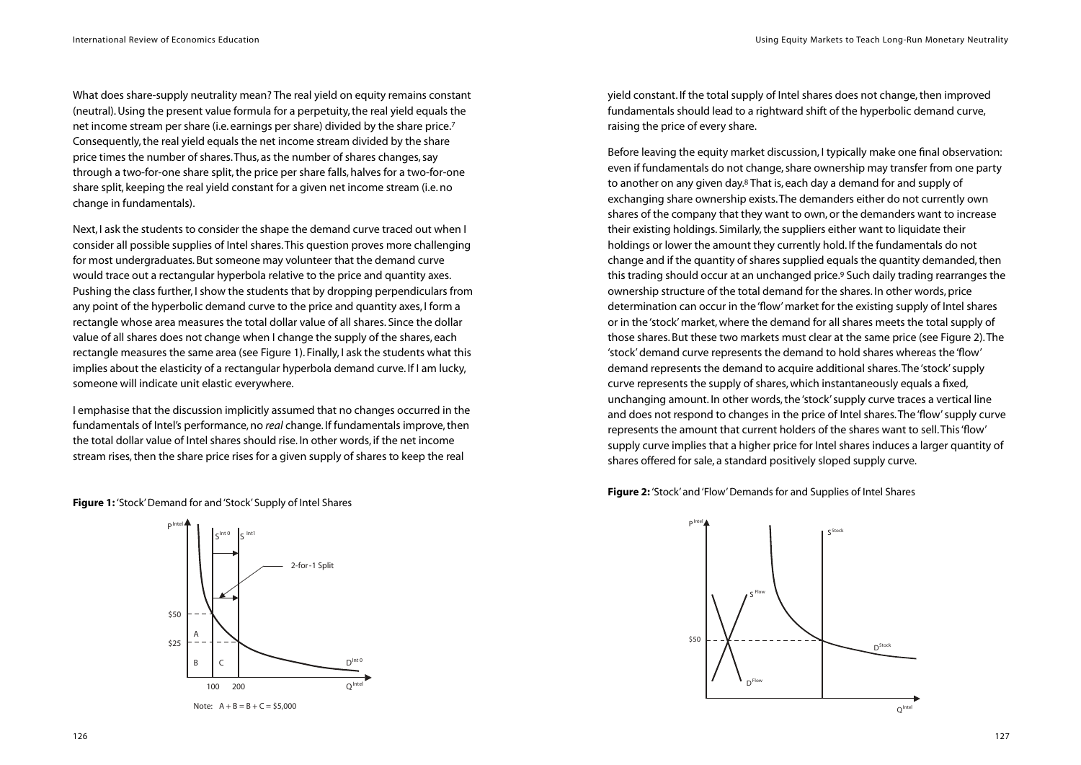What does share-supply neutrality mean? The real yield on equity remains constant (neutral). Using the present value formula for a perpetuity, the real yield equals the net income stream per share (i.e. earnings per share) divided by the share price.7 Consequently, the real yield equals the net income stream divided by the share price times the number of shares.Thus, as the number of shares changes, say through a two-for-one share split, the price per share falls, halves for a two-for-one share split, keeping the real yield constant for a given net income stream (i.e. no change in fundamentals).

Next, I ask the students to consider the shape the demand curve traced out when I consider all possible supplies of Intel shares.This question proves more challenging for most undergraduates. But someone may volunteer that the demand curve would trace out a rectangular hyperbola relative to the price and quantity axes. Pushing the class further, I show the students that by dropping perpendiculars from any point of the hyperbolic demand curve to the price and quantity axes, I form a rectangle whose area measures the total dollar value of all shares. Since the dollar value of all shares does not change when I change the supply of the shares, each rectangle measures the same area (see Figure 1). Finally, I ask the students what this implies about the elasticity of a rectangular hyperbola demand curve. If I am lucky, someone will indicate unit elastic everywhere.

I emphasise that the discussion implicitly assumed that no changes occurred in the fundamentals of Intel's performance, no *real* change. If fundamentals improve, then the total dollar value of Intel shares should rise. In other words, if the net income stream rises, then the share price rises for a given supply of shares to keep the real

**Figure 1:** 'Stock' Demand for and 'Stock' Supply of Intel Shares



yield constant. If the total supply of Intel shares does not change, then improved fundamentals should lead to a rightward shift of the hyperbolic demand curve, raising the price of every share.

Before leaving the equity market discussion, I typically make one final observation: even if fundamentals do not change, share ownership may transfer from one party to another on any given day.8 That is, each day a demand for and supply of exchanging share ownership exists.The demanders either do not currently own shares of the company that they want to own, or the demanders want to increase their existing holdings. Similarly, the suppliers either want to liquidate their holdings or lower the amount they currently hold. If the fundamentals do not change and if the quantity of shares supplied equals the quantity demanded, then this trading should occur at an unchanged price.9 Such daily trading rearranges the ownership structure of the total demand for the shares. In other words, price determination can occur in the 'flow' market for the existing supply of Intel shares or in the 'stock' market, where the demand for all shares meets the total supply of those shares. But these two markets must clear at the same price (see Figure 2).The 'stock' demand curve represents the demand to hold shares whereas the 'flow' demand represents the demand to acquire additional shares.The 'stock' supply curve represents the supply of shares, which instantaneously equals a fixed, unchanging amount. In other words, the 'stock' supply curve traces a vertical line and does not respond to changes in the price of Intel shares.The 'flow' supply curve represents the amount that current holders of the shares want to sell.This 'flow' supply curve implies that a higher price for Intel shares induces a larger quantity of shares offered for sale, a standard positively sloped supply curve.

**Figure 2:** 'Stock' and 'Flow' Demands for and Supplies of Intel Shares

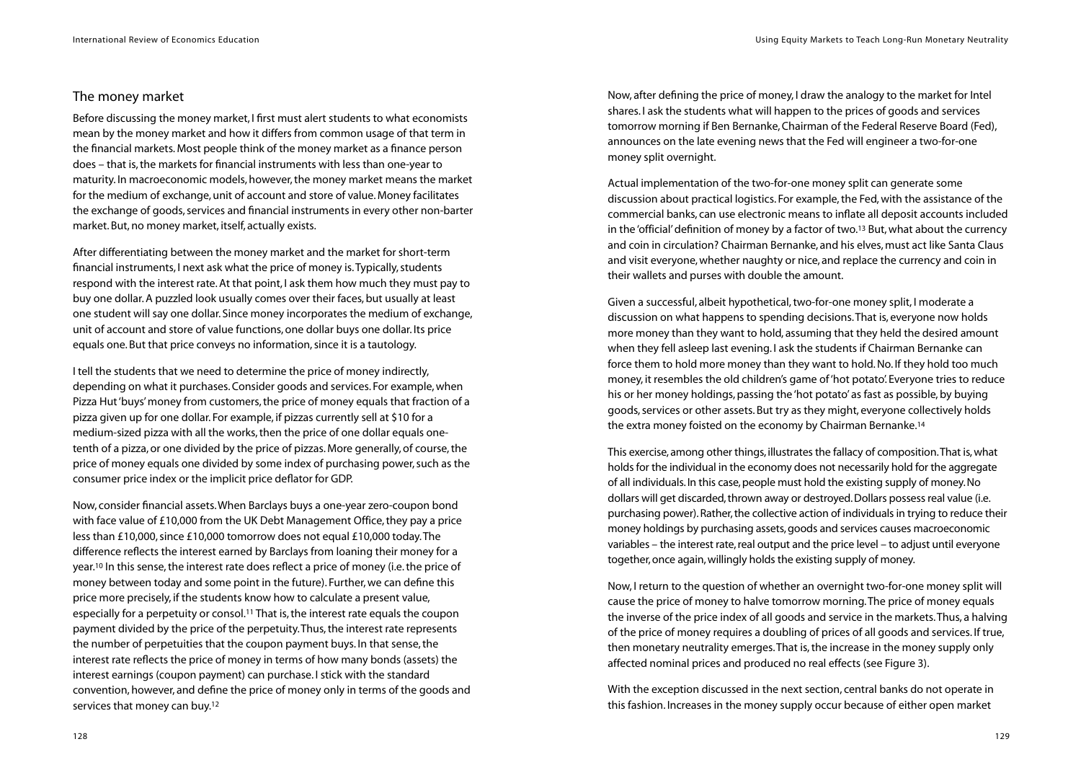### The money market

Before discussing the money market, I first must alert students to what economists mean by the money market and how it differs from common usage of that term in the financial markets. Most people think of the money market as a finance person does – that is, the markets for financial instruments with less than one-year to maturity. In macroeconomic models, however, the money market means the market for the medium of exchange, unit of account and store of value. Money facilitates the exchange of goods, services and financial instruments in every other non-barter market. But, no money market, itself, actually exists.

After differentiating between the money market and the market for short-term financial instruments, I next ask what the price of money is.Typically, students respond with the interest rate. At that point, I ask them how much they must pay to buy one dollar. A puzzled look usually comes over their faces, but usually at least one student will say one dollar. Since money incorporates the medium of exchange, unit of account and store of value functions, one dollar buys one dollar. Its price equals one. But that price conveys no information, since it is a tautology.

I tell the students that we need to determine the price of money indirectly, depending on what it purchases. Consider goods and services. For example, when Pizza Hut 'buys' money from customers, the price of money equals that fraction of a pizza given up for one dollar. For example, if pizzas currently sell at \$10 for a medium-sized pizza with all the works, then the price of one dollar equals onetenth of a pizza, or one divided by the price of pizzas. More generally, of course, the price of money equals one divided by some index of purchasing power, such as the consumer price index or the implicit price deflator for GDP.

Now, consider financial assets.When Barclays buys a one-year zero-coupon bond with face value of £10,000 from the UK Debt Management Office, they pay a price less than £10,000, since £10,000 tomorrow does not equal £10,000 today.The difference reflects the interest earned by Barclays from loaning their money for a year.10 In this sense, the interest rate does reflect a price of money (i.e. the price of money between today and some point in the future). Further, we can define this price more precisely, if the students know how to calculate a present value, especially for a perpetuity or consol.11 That is, the interest rate equals the coupon payment divided by the price of the perpetuity.Thus, the interest rate represents the number of perpetuities that the coupon payment buys. In that sense, the interest rate reflects the price of money in terms of how many bonds (assets) the interest earnings (coupon payment) can purchase. I stick with the standard convention, however, and define the price of money only in terms of the goods and services that money can buy.<sup>12</sup>

Now, after defining the price of money, I draw the analogy to the market for Intel shares. I ask the students what will happen to the prices of goods and services tomorrow morning if Ben Bernanke, Chairman of the Federal Reserve Board (Fed), announces on the late evening news that the Fed will engineer a two-for-one money split overnight.

Actual implementation of the two-for-one money split can generate some discussion about practical logistics. For example, the Fed, with the assistance of the commercial banks, can use electronic means to inflate all deposit accounts included in the 'official' definition of money by a factor of two.13 But, what about the currency and coin in circulation? Chairman Bernanke, and his elves, must act like Santa Claus and visit everyone, whether naughty or nice, and replace the currency and coin in their wallets and purses with double the amount.

Given a successful, albeit hypothetical, two-for-one money split, I moderate a discussion on what happens to spending decisions.That is, everyone now holds more money than they want to hold, assuming that they held the desired amount when they fell asleep last evening. I ask the students if Chairman Bernanke can force them to hold more money than they want to hold. No. If they hold too much money, it resembles the old children's game of 'hot potato'. Everyone tries to reduce his or her money holdings, passing the 'hot potato' as fast as possible, by buying goods, services or other assets. But try as they might, everyone collectively holds the extra money foisted on the economy by Chairman Bernanke.<sup>14</sup>

This exercise, among other things, illustrates the fallacy of composition.That is, what holds for the individual in the economy does not necessarily hold for the aggregate of all individuals. In this case, people must hold the existing supply of money. No dollars will get discarded, thrown away or destroyed. Dollars possess real value (i.e. purchasing power). Rather, the collective action of individuals in trying to reduce their money holdings by purchasing assets, goods and services causes macroeconomic variables – the interest rate, real output and the price level – to adjust until everyone together,once again,willingly holds the existing supply of money.

Now, I return to the question of whether an overnight two-for-one money split will cause the price of money to halve tomorrow morning.The price of money equals the inverse of the price index of all goods and service in the markets.Thus, a halving of the price of money requires a doubling of prices of all goods and services. If true, then monetary neutrality emerges.That is, the increase in the money supply only affected nominal prices and produced no real effects (see Figure 3).

With the exception discussed in the next section, central banks do not operate in this fashion. Increases in the money supply occur because of either open market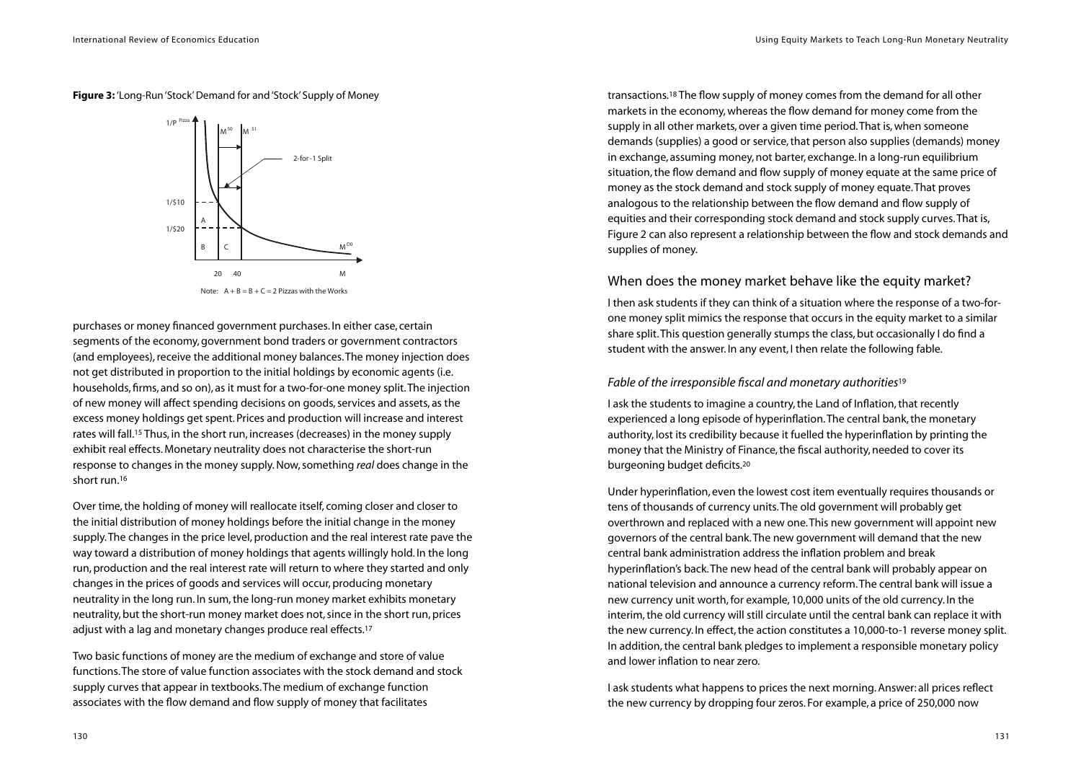#### **Figure 3:** 'Long-Run 'Stock' Demand for and 'Stock' Supply of Money



purchases or money financed government purchases. In either case, certain segments of the economy, government bond traders or government contractors (and employees), receive the additional money balances.The money injection does not get distributed in proportion to the initial holdings by economic agents (i.e. households, firms, and so on), as it must for a two-for-one money split.The injection of new money will affect spending decisions on goods, services and assets, as the excess money holdings get spent. Prices and production will increase and interest rates will fall.15 Thus, in the short run, increases (decreases) in the money supply exhibit real effects. Monetary neutrality does not characterise the short-run response to changes in the money supply. Now, something *real* does change in the short run.16

Over time, the holding of money will reallocate itself, coming closer and closer to the initial distribution of money holdings before the initial change in the money supply.The changes in the price level, production and the real interest rate pave the way toward a distribution of money holdings that agents willingly hold. In the long run, production and the real interest rate will return to where they started and only changes in the prices of goods and services will occur, producing monetary neutrality in the long run. In sum,the long-run money market exhibits monetary neutrality, but the short-run money market does not, since in the short run, prices adjust with a lag and monetary changes produce real effects.<sup>17</sup>

Two basic functions of money are the medium of exchange and store of value functions.The store of value function associates with the stock demand and stock supply curves that appear in textbooks.The medium of exchange function associates with the flow demand and flow supply of money that facilitates

transactions.18 The flow supply of money comes from the demand for all other markets in the economy, whereas the flow demand for money come from the supply in all other markets, over a given time period.That is, when someone demands (supplies) a good or service, that person also supplies (demands) money in exchange, assuming money, not barter, exchange. In a long-run equilibrium situation, the flow demand and flow supply of money equate at the same price of money as the stock demand and stock supply of money equate.That proves analogous to the relationship between the flow demand and flow supply of equities and their corresponding stock demand and stock supply curves.That is, Figure 2 can also represent a relationship between the flow and stock demands and supplies of money.

### When does the money market behave like the equity market?

I then ask students if they can think of a situation where the response of a two-forone money split mimics the response that occurs in the equity market to a similar share split.This question generally stumps the class, but occasionally I do find a student with the answer. In any event, I then relate the following fable.

#### *Fable of the irresponsible fiscal and monetary authorities*<sup>19</sup>

I ask the students to imagine a country, the Land of Inflation, that recently experienced a long episode of hyperinflation.The central bank, the monetary authority, lost its credibility because it fuelled the hyperinflation by printing the money that the Ministry of Finance, the fiscal authority, needed to cover its burgeoning budget deficits.20

Under hyperinflation, even the lowest cost item eventually requires thousands or tens of thousands of currency units.The old government will probably get overthrown and replaced with a new one.This new government will appoint new governors of the central bank.The new government will demand that the new central bank administration address the inflation problem and break hyperinflation's back.The new head of the central bank will probably appear on national television and announce a currency reform.The central bank will issue a new currency unit worth, for example, 10,000 units of the old currency. In the interim, the old currency will still circulate until the central bank can replace it with the new currency. In effect, the action constitutes a 10,000-to-1 reverse money split. In addition, the central bank pledges to implement a responsible monetary policy and lower inflation to near zero.

I ask students what happens to prices the next morning. Answer: all prices reflect the new currency by dropping four zeros. For example, a price of 250,000 now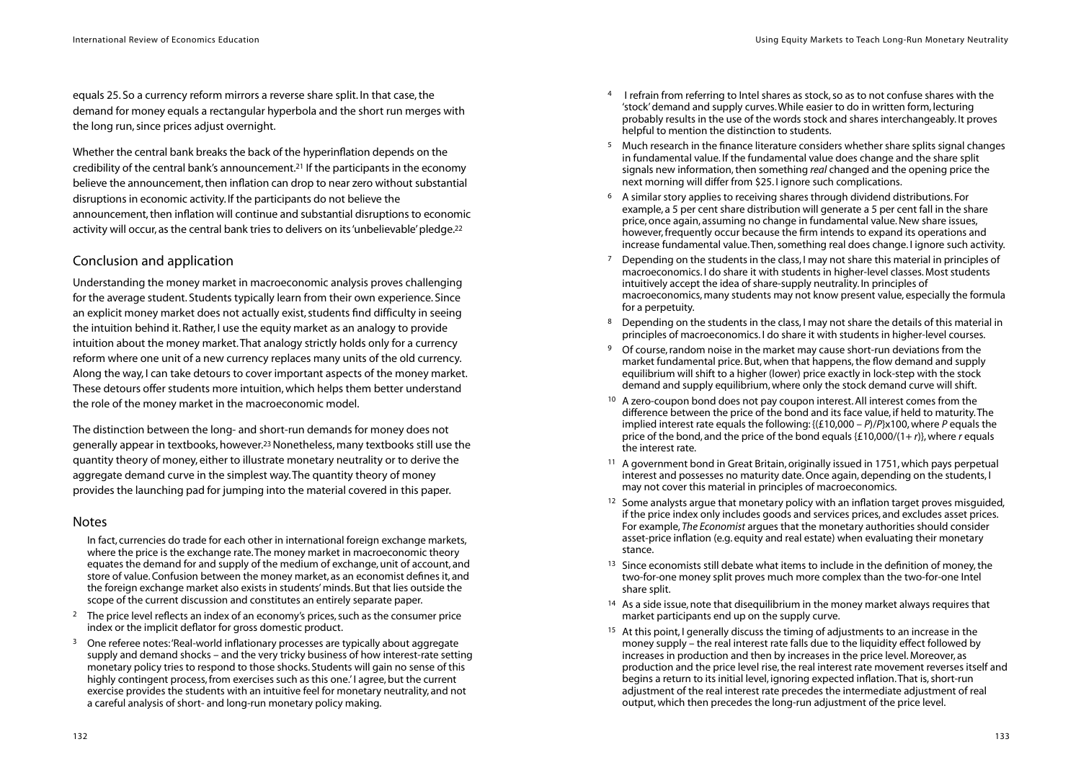equals 25. So a currency reform mirrors a reverse share split. In that case, the demand for money equals a rectangular hyperbola and the short run merges with the long run, since prices adjust overnight.

Whether the central bank breaks the back of the hyperinflation depends on the credibility of the central bank's announcement.21 If the participants in the economy believe the announcement, then inflation can drop to near zero without substantial disruptions in economic activity. If the participants do not believe the announcement, then inflation will continue and substantial disruptions to economic activity will occur, as the central bank tries to delivers on its 'unbelievable' pledge.22

# Conclusion and application

Understanding the money market in macroeconomic analysis proves challenging for the average student. Students typically learn from their own experience. Since an explicit money market does not actually exist, students find difficulty in seeing the intuition behind it. Rather, I use the equity market as an analogy to provide intuition about the money market.That analogy strictly holds only for a currency reform where one unit of a new currency replaces many units of the old currency. Along the way, I can take detours to cover important aspects of the money market. These detours offer students more intuition, which helps them better understand the role of the money market in the macroeconomic model.

The distinction between the long- and short-run demands for money does not generally appear in textbooks, however.23 Nonetheless, many textbooks still use the quantity theory of money, either to illustrate monetary neutrality or to derive the aggregate demand curve in the simplest way.The quantity theory of money provides the launching pad for jumping into the material covered in this paper.

#### **Notes**

In fact, currencies do trade for each other in international foreign exchange markets, where the price is the exchange rate.The money market in macroeconomic theory equates the demand for and supply of the medium of exchange, unit of account, and store of value. Confusion between the money market, as an economist defines it, and the foreign exchange market also exists in students' minds. But that lies outside the scope of the current discussion and constitutes an entirely separate paper.

- <sup>2</sup> The price level reflects an index of an economy's prices, such as the consumer price index or the implicit deflator for gross domestic product.
- 3 One referee notes:'Real-world inflationary processes are typically about aggregate supply and demand shocks – and the very tricky business of how interest-rate setting monetary policy tries to respond to those shocks. Students will gain no sense of this highly contingent process, from exercises such as this one.' I agree, but the current exercise provides the students with an intuitive feel for monetary neutrality, and not a careful analysis of short- and long-run monetary policy making.
- 4 I refrain from referring to Intel shares as stock, so as to not confuse shares with the 'stock' demand and supply curves.While easier to do in written form, lecturing probably results in the use of the words stock and shares interchangeably. It proves helpful to mention the distinction to students.
- 5 Much research in the finance literature considers whether share splits signal changes in fundamental value. If the fundamental value does change and the share split signals new information, then something *real* changed and the opening price the next morning will differ from \$25. I ignore such complications.
- 6 A similar story applies to receiving shares through dividend distributions. For example, a 5 per cent share distribution will generate a 5 per cent fall in the share price, once again, assuming no change in fundamental value. New share issues, however, frequently occur because the firm intends to expand its operations and increase fundamental value.Then, something real does change. I ignore such activity.
- <sup>7</sup> Depending on the students in the class, I may not share this material in principles of macroeconomics. I do share it with students in higher-level classes. Most students intuitively accept the idea of share-supply neutrality. In principles of macroeconomics, many students may not know present value, especially the formula for a perpetuity.
- 8 Depending on the students in the class, I may not share the details of this material in principles of macroeconomics. I do share it with students in higher-level courses.
- 9 Of course, random noise in the market may cause short-run deviations from the market fundamental price. But, when that happens, the flow demand and supply equilibrium will shift to a higher (lower) price exactly in lock-step with the stock demand and supply equilibrium, where only the stock demand curve will shift.
- <sup>10</sup> A zero-coupon bond does not pay coupon interest. All interest comes from the difference between the price of the bond and its face value, if held to maturity.The implied interest rate equals the following: {(£10,000 – *P*)/*P*}x100, where *P* equals the price of the bond, and the price of the bond equals  $\{£10,000/(1+r)\}$ , where *r* equals the interest rate.
- 11 A government bond in Great Britain, originally issued in 1751, which pays perpetual interest and possesses no maturity date. Once again, depending on the students, I may not cover this material in principles of macroeconomics.
- $12$  Some analysts argue that monetary policy with an inflation target proves misquided, if the price index only includes goods and services prices, and excludes asset prices. For example, *The Economist* argues that the monetary authorities should consider asset-price inflation (e.g. equity and real estate) when evaluating their monetary stance.
- 13 Since economists still debate what items to include in the definition of money, the two-for-one money split proves much more complex than the two-for-one Intel share split.
- 14 As a side issue, note that disequilibrium in the money market always requires that market participants end up on the supply curve.
- 15 At this point, I generally discuss the timing of adjustments to an increase in the money supply – the real interest rate falls due to the liquidity effect followed by increases in production and then by increases in the price level. Moreover, as production and the price level rise, the real interest rate movement reverses itself and begins a return to its initial level, ignoring expected inflation.That is, short-run adjustment of the real interest rate precedes the intermediate adjustment of real output, which then precedes the long-run adjustment of the price level.